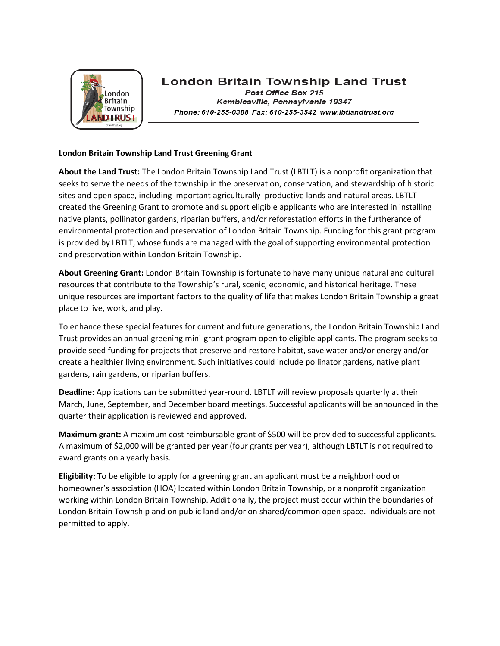

# **London Britain Township Land Trust**

Post Office Box 215 Kemblesville, Pennsylvania 19347 Phone: 610-255-0388 Fax: 610-255-3542 www.lbtlandtrust.org

#### **London Britain Township Land Trust Greening Grant**

**About the Land Trust:** The London Britain Township Land Trust (LBTLT) is a nonprofit organization that seeks to serve the needs of the township in the preservation, conservation, and stewardship of historic sites and open space, including important agriculturally productive lands and natural areas. LBTLT created the Greening Grant to promote and support eligible applicants who are interested in installing native plants, pollinator gardens, riparian buffers, and/or reforestation efforts in the furtherance of environmental protection and preservation of London Britain Township. Funding for this grant program is provided by LBTLT, whose funds are managed with the goal of supporting environmental protection and preservation within London Britain Township.

**About Greening Grant:** London Britain Township is fortunate to have many unique natural and cultural resources that contribute to the Township's rural, scenic, economic, and historical heritage. These unique resources are important factors to the quality of life that makes London Britain Township a great place to live, work, and play.

To enhance these special features for current and future generations, the London Britain Township Land Trust provides an annual greening mini-grant program open to eligible applicants. The program seeks to provide seed funding for projects that preserve and restore habitat, save water and/or energy and/or create a healthier living environment. Such initiatives could include pollinator gardens, native plant gardens, rain gardens, or riparian buffers.

**Deadline:** Applications can be submitted year-round. LBTLT will review proposals quarterly at their March, June, September, and December board meetings. Successful applicants will be announced in the quarter their application is reviewed and approved.

**Maximum grant:** A maximum cost reimbursable grant of \$500 will be provided to successful applicants. A maximum of \$2,000 will be granted per year (four grants per year), although LBTLT is not required to award grants on a yearly basis.

**Eligibility:** To be eligible to apply for a greening grant an applicant must be a neighborhood or homeowner's association (HOA) located within London Britain Township, or a nonprofit organization working within London Britain Township. Additionally, the project must occur within the boundaries of London Britain Township and on public land and/or on shared/common open space. Individuals are not permitted to apply.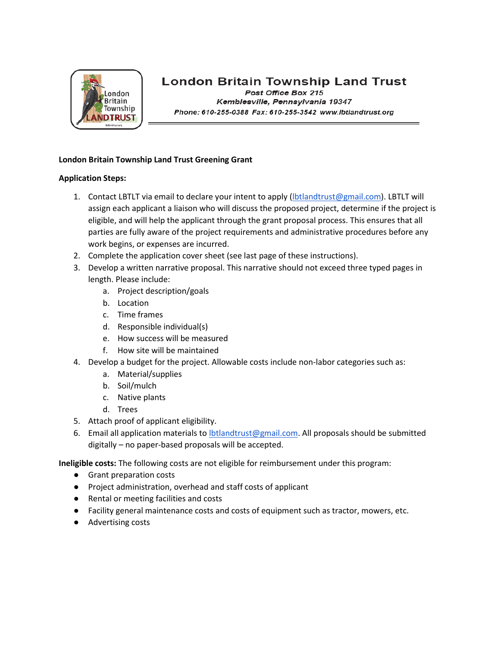

## **London Britain Township Land Trust**

Post Office Box 215 Kemblesville, Pennsylvania 19347 Phone: 610-255-0388 Fax: 610-255-3542 www.lbtlandtrust.org

#### **London Britain Township Land Trust Greening Grant**

#### **Application Steps:**

- 1. Contact LBTLT via email to declare your intent to apply [\(lbtlandtrust@gmail.com\)](mailto:lbtlandtrust@gmail.com). LBTLT will assign each applicant a liaison who will discuss the proposed project, determine if the project is eligible, and will help the applicant through the grant proposal process. This ensures that all parties are fully aware of the project requirements and administrative procedures before any work begins, or expenses are incurred.
- 2. Complete the application cover sheet (see last page of these instructions).
- 3. Develop a written narrative proposal. This narrative should not exceed three typed pages in length. Please include:
	- a. Project description/goals
	- b. Location
	- c. Time frames
	- d. Responsible individual(s)
	- e. How success will be measured
	- f. How site will be maintained
- 4. Develop a budget for the project. Allowable costs include non-labor categories such as:
	- a. Material/supplies
	- b. Soil/mulch
	- c. Native plants
	- d. Trees
- 5. Attach proof of applicant eligibility.
- 6. Email all application materials to **Ibtlandtrust@gmail.com.** All proposals should be submitted digitally – no paper-based proposals will be accepted.

**Ineligible costs:** The following costs are not eligible for reimbursement under this program:

- Grant preparation costs
- Project administration, overhead and staff costs of applicant
- Rental or meeting facilities and costs
- Facility general maintenance costs and costs of equipment such as tractor, mowers, etc.
- Advertising costs